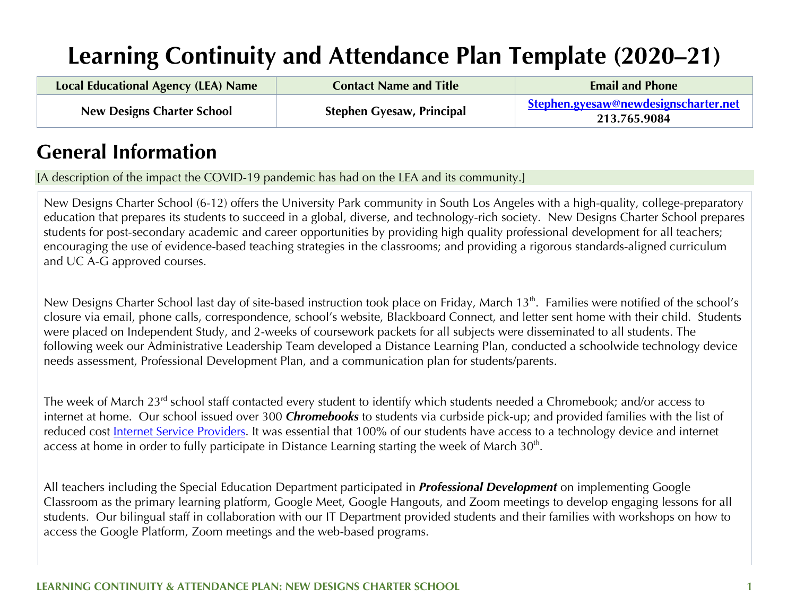# **Learning Continuity and Attendance Plan Template (2020–21)**

| <b>Local Educational Agency (LEA) Name</b> | <b>Contact Name and Title</b>    | <b>Email and Phone</b>                                      |
|--------------------------------------------|----------------------------------|-------------------------------------------------------------|
| <b>New Designs Charter School</b>          | <b>Stephen Gyesaw, Principal</b> | <u>Stephen.gyesaw@newdesignscharter.net</u><br>213.765.9084 |

## **General Information**

[A description of the impact the COVID-19 pandemic has had on the LEA and its community.]

New Designs Charter School (6-12) offers the University Park community in South Los Angeles with a high-quality, college-preparatory education that prepares its students to succeed in a global, diverse, and technology-rich society. New Designs Charter School prepares students for post-secondary academic and career opportunities by providing high quality professional development for all teachers; encouraging the use of evidence-based teaching strategies in the classrooms; and providing a rigorous standards-aligned curriculum and UC A-G approved courses.

New Designs Charter School last day of site-based instruction took place on Friday, March 13<sup>th</sup>. Families were notified of the school's closure via email, phone calls, correspondence, school's website, Blackboard Connect, and letter sent home with their child. Students were placed on Independent Study, and 2-weeks of coursework packets for all subjects were disseminated to all students. The following week our Administrative Leadership Team developed a Distance Learning Plan, conducted a schoolwide technology device needs assessment, Professional Development Plan, and a communication plan for students/parents.

The week of March 23<sup>rd</sup> school staff contacted every student to identify which students needed a Chromebook; and/or access to internet at home. Our school issued over 300 *Chromebooks* to students via curbside pick-up; and provided families with the list of reduced cost Internet Service Providers. It was essential that 100% of our students have access to a technology device and internet access at home in order to fully participate in Distance Learning starting the week of March 30<sup>th</sup>.

All teachers including the Special Education Department participated in *Professional Development* on implementing Google Classroom as the primary learning platform, Google Meet, Google Hangouts, and Zoom meetings to develop engaging lessons for all students. Our bilingual staff in collaboration with our IT Department provided students and their families with workshops on how to access the Google Platform, Zoom meetings and the web-based programs.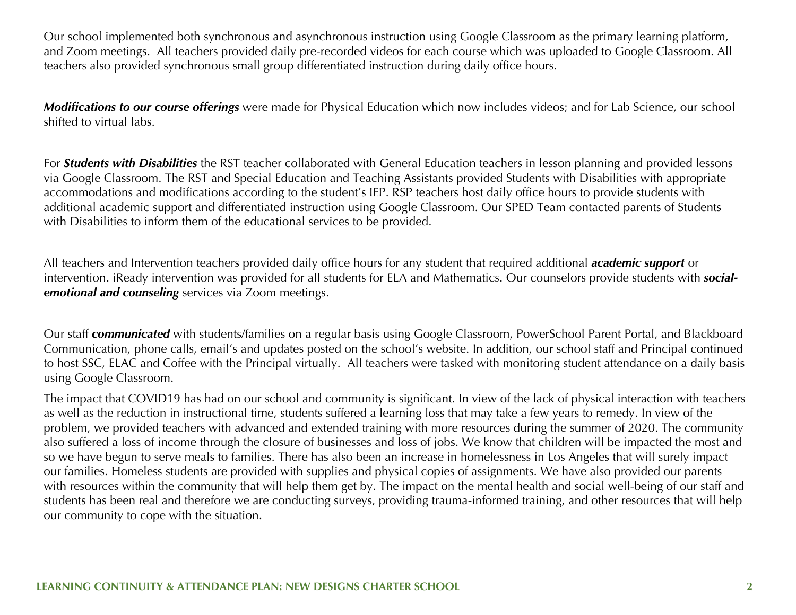Our school implemented both synchronous and asynchronous instruction using Google Classroom as the primary learning platform, and Zoom meetings. All teachers provided daily pre-recorded videos for each course which was uploaded to Google Classroom. All teachers also provided synchronous small group differentiated instruction during daily office hours.

*Modifications to our course offerings* were made for Physical Education which now includes videos; and for Lab Science, our school shifted to virtual labs.

For *Students with Disabilities* the RST teacher collaborated with General Education teachers in lesson planning and provided lessons via Google Classroom. The RST and Special Education and Teaching Assistants provided Students with Disabilities with appropriate accommodations and modifications according to the student's IEP. RSP teachers host daily office hours to provide students with additional academic support and differentiated instruction using Google Classroom. Our SPED Team contacted parents of Students with Disabilities to inform them of the educational services to be provided.

All teachers and Intervention teachers provided daily office hours for any student that required additional *academic support* or intervention. iReady intervention was provided for all students for ELA and Mathematics. Our counselors provide students with *socialemotional and counseling* services via Zoom meetings.

Our staff *communicated* with students/families on a regular basis using Google Classroom, PowerSchool Parent Portal, and Blackboard Communication, phone calls, email's and updates posted on the school's website. In addition, our school staff and Principal continued to host SSC, ELAC and Coffee with the Principal virtually. All teachers were tasked with monitoring student attendance on a daily basis using Google Classroom.

The impact that COVID19 has had on our school and community is significant. In view of the lack of physical interaction with teachers as well as the reduction in instructional time, students suffered a learning loss that may take a few years to remedy. In view of the problem, we provided teachers with advanced and extended training with more resources during the summer of 2020. The community also suffered a loss of income through the closure of businesses and loss of jobs. We know that children will be impacted the most and so we have begun to serve meals to families. There has also been an increase in homelessness in Los Angeles that will surely impact our families. Homeless students are provided with supplies and physical copies of assignments. We have also provided our parents with resources within the community that will help them get by. The impact on the mental health and social well-being of our staff and students has been real and therefore we are conducting surveys, providing trauma-informed training, and other resources that will help our community to cope with the situation.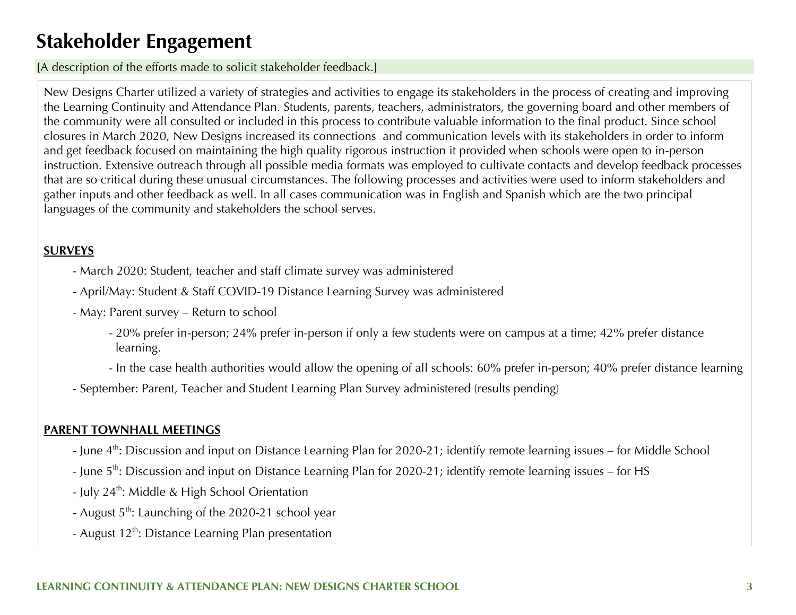## **Stakeholder Engagement**

[A description of the efforts made to solicit stakeholder feedback.]

New Designs Charter utilized a variety of strategies and activities to engage its stakeholders in the process of creating and improving the Learning Continuity and Attendance Plan. Students, parents, teachers, administrators, the governing board and other members of the community were all consulted or included in this process to contribute valuable information to the final product. Since school closures in March 2020, New Designs increased its connections and communication levels with its stakeholders in order to inform and get feedback focused on maintaining the high quality rigorous instruction it provided when schools were open to in-person instruction. Extensive outreach through all possible media formats was employed to cultivate contacts and develop feedback processes that are so critical during these unusual circumstances. The following processes and activities were used to inform stakeholders and gather inputs and other feedback as well. In all cases communication was in English and Spanish which are the two principal languages of the community and stakeholders the school serves.

#### **SURVEYS**

- March 2020: Student, teacher and staff climate survey was administered
- April/May: Student & Staff COVID-19 Distance Learning Survey was administered
- May: Parent survey Return to school
	- 20% prefer in-person; 24% prefer in-person if only a few students were on campus at a time; 42% prefer distance learning.
	- In the case health authorities would allow the opening of all schools: 60% prefer in-person; 40% prefer distance learning
- September: Parent, Teacher and Student Learning Plan Survey administered (results pending)

#### **PARENT TOWNHALL MEETINGS**

- June 4<sup>th</sup>: Discussion and input on Distance Learning Plan for 2020-21; identify remote learning issues for Middle School
- June 5<sup>th</sup>: Discussion and input on Distance Learning Plan for 2020-21; identify remote learning issues for HS
- July 24<sup>th</sup>: Middle & High School Orientation
- August  $5<sup>th</sup>$ : Launching of the 2020-21 school year
- August  $12^{th}$ : Distance Learning Plan presentation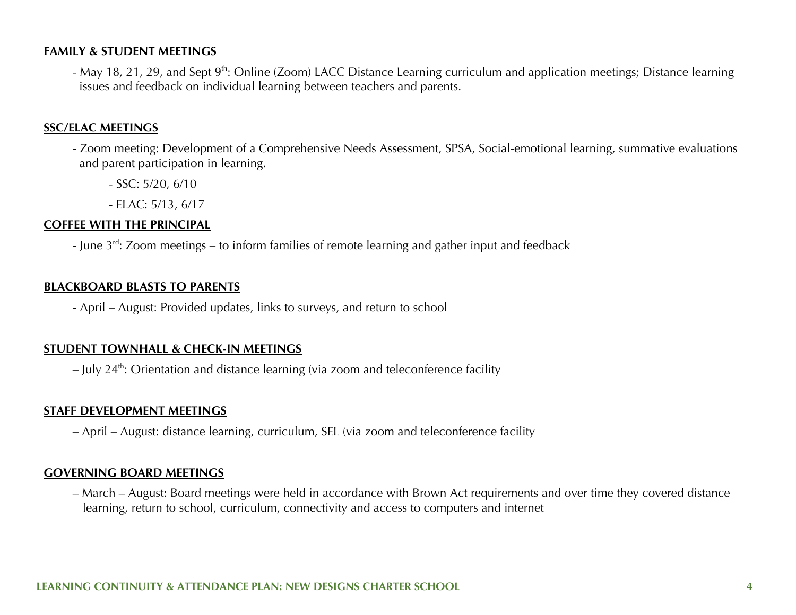#### **FAMILY & STUDENT MEETINGS**

- May 18, 21, 29, and Sept 9<sup>th</sup>: Online (Zoom) LACC Distance Learning curriculum and application meetings; Distance learning issues and feedback on individual learning between teachers and parents.

#### **SSC/ELAC MEETINGS**

- Zoom meeting: Development of a Comprehensive Needs Assessment, SPSA, Social-emotional learning, summative evaluations and parent participation in learning.
	- SSC: 5/20, 6/10
	- ELAC: 5/13, 6/17

#### **COFFEE WITH THE PRINCIPAL**

- June 3<sup>rd</sup>: Zoom meetings – to inform families of remote learning and gather input and feedback

#### **BLACKBOARD BLASTS TO PARENTS**

- April – August: Provided updates, links to surveys, and return to school

#### **STUDENT TOWNHALL & CHECK-IN MEETINGS**

 $-$  July 24<sup>th</sup>: Orientation and distance learning (via zoom and teleconference facility

#### **STAFF DEVELOPMENT MEETINGS**

– April – August: distance learning, curriculum, SEL (via zoom and teleconference facility

#### **GOVERNING BOARD MEETINGS**

– March – August: Board meetings were held in accordance with Brown Act requirements and over time they covered distance learning, return to school, curriculum, connectivity and access to computers and internet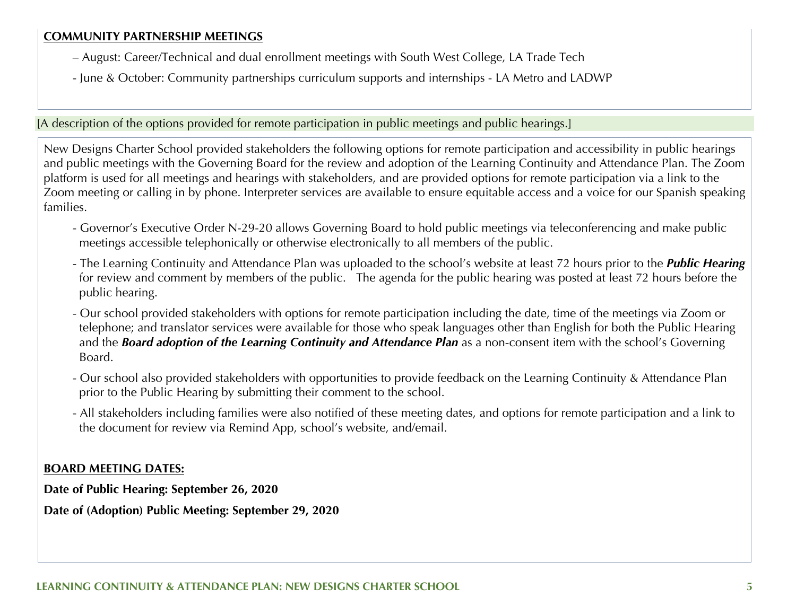#### **COMMUNITY PARTNERSHIP MEETINGS**

- August: Career/Technical and dual enrollment meetings with South West College, LA Trade Tech
- June & October: Community partnerships curriculum supports and internships LA Metro and LADWP

[A description of the options provided for remote participation in public meetings and public hearings.]

New Designs Charter School provided stakeholders the following options for remote participation and accessibility in public hearings and public meetings with the Governing Board for the review and adoption of the Learning Continuity and Attendance Plan. The Zoom platform is used for all meetings and hearings with stakeholders, and are provided options for remote participation via a link to the Zoom meeting or calling in by phone. Interpreter services are available to ensure equitable access and a voice for our Spanish speaking families.

- Governor's Executive Order N-29-20 allows Governing Board to hold public meetings via teleconferencing and make public meetings accessible telephonically or otherwise electronically to all members of the public.
- The Learning Continuity and Attendance Plan was uploaded to the school's website at least 72 hours prior to the *Public Hearing* for review and comment by members of the public. The agenda for the public hearing was posted at least 72 hours before the public hearing.
- Our school provided stakeholders with options for remote participation including the date, time of the meetings via Zoom or telephone; and translator services were available for those who speak languages other than English for both the Public Hearing and the *Board adoption of the Learning Continuity and Attendance Plan* as a non-consent item with the school's Governing Board.
- Our school also provided stakeholders with opportunities to provide feedback on the Learning Continuity & Attendance Plan prior to the Public Hearing by submitting their comment to the school.
- All stakeholders including families were also notified of these meeting dates, and options for remote participation and a link to the document for review via Remind App, school's website, and/email.

#### **BOARD MEETING DATES:**

**Date of Public Hearing: September 26, 2020**

**Date of (Adoption) Public Meeting: September 29, 2020**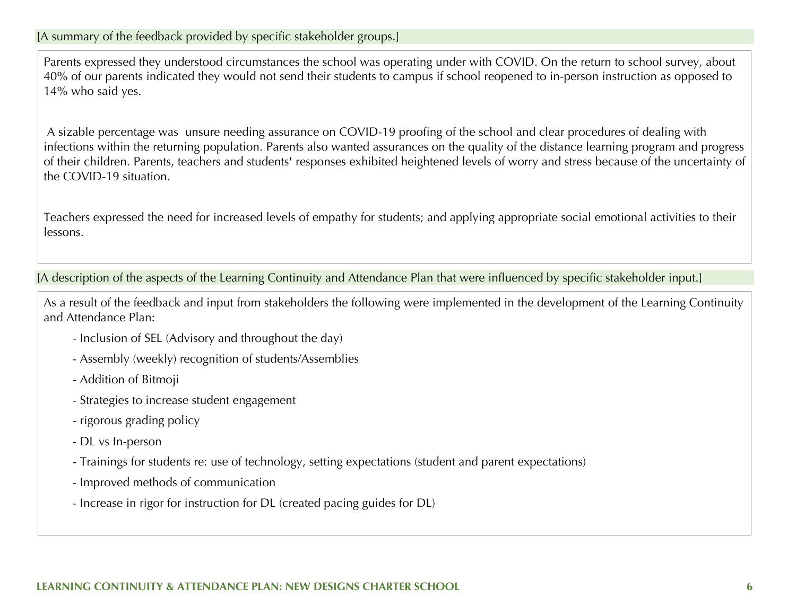Parents expressed they understood circumstances the school was operating under with COVID. On the return to school survey, about 40% of our parents indicated they would not send their students to campus if school reopened to in-person instruction as opposed to 14% who said yes.

A sizable percentage was unsure needing assurance on COVID-19 proofing of the school and clear procedures of dealing with infections within the returning population. Parents also wanted assurances on the quality of the distance learning program and progress of their children. Parents, teachers and students' responses exhibited heightened levels of worry and stress because of the uncertainty of the COVID-19 situation.

Teachers expressed the need for increased levels of empathy for students; and applying appropriate social emotional activities to their lessons.

[A description of the aspects of the Learning Continuity and Attendance Plan that were influenced by specific stakeholder input.]

As a result of the feedback and input from stakeholders the following were implemented in the development of the Learning Continuity and Attendance Plan:

- Inclusion of SEL (Advisory and throughout the day)
- Assembly (weekly) recognition of students/Assemblies
- Addition of Bitmoji
- Strategies to increase student engagement
- rigorous grading policy
- DL vs In-person
- Trainings for students re: use of technology, setting expectations (student and parent expectations)
- Improved methods of communication
- Increase in rigor for instruction for DL (created pacing guides for DL)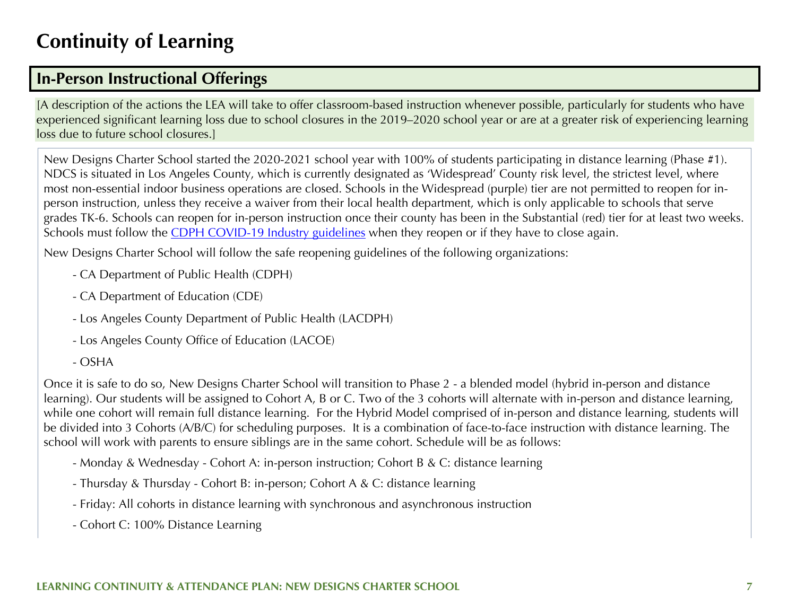## **Continuity of Learning**

## **In-Person Instructional Offerings**

[A description of the actions the LEA will take to offer classroom-based instruction whenever possible, particularly for students who have experienced significant learning loss due to school closures in the 2019–2020 school year or are at a greater risk of experiencing learning loss due to future school closures.]

New Designs Charter School started the 2020-2021 school year with 100% of students participating in distance learning (Phase #1). NDCS is situated in Los Angeles County, which is currently designated as 'Widespread' County risk level, the strictest level, where most non-essential indoor business operations are closed. Schools in the Widespread (purple) tier are not permitted to reopen for inperson instruction, unless they receive a waiver from their local health department, which is only applicable to schools that serve grades TK-6. Schools can reopen for in-person instruction once their county has been in the Substantial (red) tier for at least two weeks. Schools must follow the CDPH COVID-19 Industry guidelines when they reopen or if they have to close again.

New Designs Charter School will follow the safe reopening guidelines of the following organizations:

- CA Department of Public Health (CDPH)
- CA Department of Education (CDE)
- Los Angeles County Department of Public Health (LACDPH)
- Los Angeles County Office of Education (LACOE)
- OSHA

Once it is safe to do so, New Designs Charter School will transition to Phase 2 - a blended model (hybrid in-person and distance learning). Our students will be assigned to Cohort A, B or C. Two of the 3 cohorts will alternate with in-person and distance learning, while one cohort will remain full distance learning. For the Hybrid Model comprised of in-person and distance learning, students will be divided into 3 Cohorts (A/B/C) for scheduling purposes. It is a combination of face-to-face instruction with distance learning. The school will work with parents to ensure siblings are in the same cohort. Schedule will be as follows:

- Monday & Wednesday Cohort A: in-person instruction; Cohort B & C: distance learning
- Thursday & Thursday Cohort B: in-person; Cohort A & C: distance learning
- Friday: All cohorts in distance learning with synchronous and asynchronous instruction
- Cohort C: 100% Distance Learning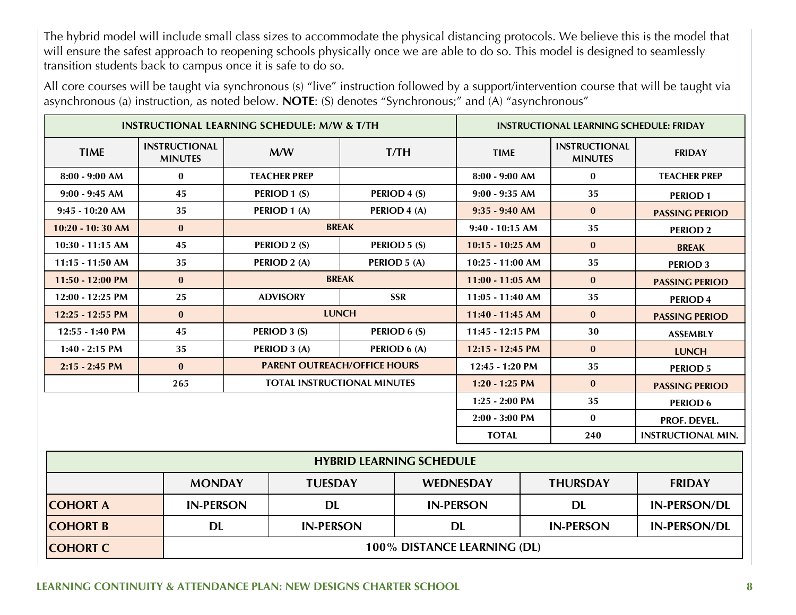The hybrid model will include small class sizes to accommodate the physical distancing protocols. We believe this is the model that will ensure the safest approach to reopening schools physically once we are able to do so. This model is designed to seamlessly transition students back to campus once it is safe to do so.

All core courses will be taught via synchronous (s) "live" instruction followed by a support/intervention course that will be taught via asynchronous (a) instruction, as noted below. **NOTE**: (S) denotes "Synchronous;" and (A) "asynchronous"

| <b>INSTRUCTIONAL LEARNING SCHEDULE: M/W &amp; T/TH</b> |                                        |                                     | <b>INSTRUCTIONAL LEARNING SCHEDULE: FRIDAY</b> |                           |                  |                    |    |                                        |                       |
|--------------------------------------------------------|----------------------------------------|-------------------------------------|------------------------------------------------|---------------------------|------------------|--------------------|----|----------------------------------------|-----------------------|
| <b>TIME</b>                                            | <b>INSTRUCTIONAL</b><br><b>MINUTES</b> | M/W                                 |                                                |                           | T/TH             | <b>TIME</b>        |    | <b>INSTRUCTIONAL</b><br><b>MINUTES</b> | <b>FRIDAY</b>         |
| $8:00 - 9:00$ AM                                       | $\mathbf{0}$                           |                                     | <b>TEACHER PREP</b>                            |                           |                  | $8:00 - 9:00$ AM   |    | $\bf{0}$                               | <b>TEACHER PREP</b>   |
| $9:00 - 9:45$ AM                                       | 45                                     |                                     | PERIOD 1 (S)                                   |                           | PERIOD 4 (S)     | $9:00 - 9:35$ AM   |    | 35                                     | <b>PERIOD1</b>        |
| $9:45 - 10:20$ AM                                      | 35                                     |                                     | PERIOD 1 (A)                                   |                           | PERIOD 4 (A)     | $9:35 - 9:40$ AM   |    | $\bf{0}$                               | <b>PASSING PERIOD</b> |
| $10:20 - 10:30$ AM                                     | $\mathbf{0}$                           |                                     |                                                | <b>BREAK</b>              |                  | $9:40 - 10:15$ AM  |    | 35                                     | <b>PERIOD 2</b>       |
| $10:30 - 11:15$ AM                                     | 45                                     |                                     | PERIOD 2 (S)                                   |                           | PERIOD 5 (S)     | $10:15 - 10:25$ AM |    | $\mathbf{0}$                           | <b>BREAK</b>          |
| $11:15 - 11:50$ AM                                     | 35                                     |                                     | PERIOD 2 (A)                                   |                           | PERIOD 5 (A)     | $10:25 - 11:00$ AM |    | 35                                     | <b>PERIOD 3</b>       |
| $11:50 - 12:00$ PM                                     | $\bf{0}$                               |                                     |                                                | <b>BREAK</b>              |                  | $11:00 - 11:05$ AM |    | $\bf{0}$                               | <b>PASSING PERIOD</b> |
| 12:00 - 12:25 PM                                       | 25                                     |                                     | <b>ADVISORY</b>                                |                           | <b>SSR</b>       | 11:05 - 11:40 AM   |    | 35                                     | <b>PERIOD 4</b>       |
| 12:25 - 12:55 PM                                       | $\mathbf{0}$                           | <b>LUNCH</b>                        |                                                |                           |                  | 11:40 - 11:45 AM   |    | $\mathbf{0}$                           | <b>PASSING PERIOD</b> |
| 12:55 - 1:40 PM                                        | 45                                     | PERIOD 3 (S)                        |                                                |                           | PERIOD 6 (S)     | 11:45 - 12:15 PM   |    | 30                                     | <b>ASSEMBLY</b>       |
| $1:40 - 2:15$ PM                                       | 35                                     | PERIOD 3 (A)                        |                                                |                           | PERIOD 6 (A)     | 12:15 - 12:45 PM   |    | $\bf{0}$                               | <b>LUNCH</b>          |
| $2:15 - 2:45$ PM                                       | $\mathbf{0}$                           | <b>PARENT OUTREACH/OFFICE HOURS</b> |                                                |                           | 12:45 - 1:20 PM  |                    | 35 | <b>PERIOD 5</b>                        |                       |
|                                                        | 265                                    |                                     | <b>TOTAL INSTRUCTIONAL MINUTES</b>             |                           |                  | $1:20 - 1:25$ PM   |    | $\bf{0}$                               | <b>PASSING PERIOD</b> |
|                                                        |                                        |                                     |                                                |                           | $1:25 - 2:00$ PM |                    | 35 | <b>PERIOD 6</b>                        |                       |
|                                                        |                                        |                                     |                                                |                           |                  | 2:00 - 3:00 PM     |    | $\bf{0}$                               | PROF. DEVEL.          |
|                                                        | <b>TOTAL</b><br>240                    |                                     |                                                | <b>INSTRUCTIONAL MIN.</b> |                  |                    |    |                                        |                       |
| <b>HYBRID LEARNING SCHEDULE</b>                        |                                        |                                     |                                                |                           |                  |                    |    |                                        |                       |
|                                                        |                                        | <b>MONDAY</b><br><b>TUESDAY</b>     |                                                |                           | <b>WEDNESDAY</b> |                    |    | <b>THURSDAY</b>                        | <b>FRIDAY</b>         |
| <b>COHORT A</b>                                        |                                        | <b>IN-PERSON</b><br><b>DL</b>       |                                                |                           |                  | <b>IN-PERSON</b>   |    | <b>DL</b>                              | <b>IN-PERSON/DL</b>   |
| <b>COHORT B</b>                                        | <b>DL</b>                              |                                     | <b>IN-PERSON</b>                               |                           | <b>DL</b>        |                    |    | <b>IN-PERSON</b>                       | <b>IN-PERSON/DL</b>   |
| <b>COHORT C</b>                                        |                                        | 100% DISTANCE LEARNING (DL)         |                                                |                           |                  |                    |    |                                        |                       |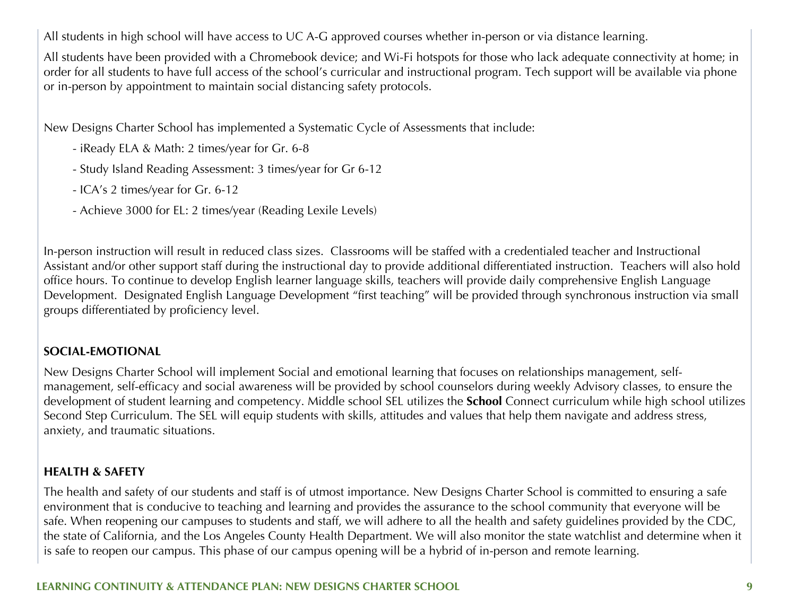All students in high school will have access to UC A-G approved courses whether in-person or via distance learning.

All students have been provided with a Chromebook device; and Wi-Fi hotspots for those who lack adequate connectivity at home; in order for all students to have full access of the school's curricular and instructional program. Tech support will be available via phone or in-person by appointment to maintain social distancing safety protocols.

New Designs Charter School has implemented a Systematic Cycle of Assessments that include:

- iReady ELA & Math: 2 times/year for Gr. 6-8
- Study Island Reading Assessment: 3 times/year for Gr 6-12
- ICA's 2 times/year for Gr. 6-12
- Achieve 3000 for EL: 2 times/year (Reading Lexile Levels)

In-person instruction will result in reduced class sizes. Classrooms will be staffed with a credentialed teacher and Instructional Assistant and/or other support staff during the instructional day to provide additional differentiated instruction. Teachers will also hold office hours. To continue to develop English learner language skills, teachers will provide daily comprehensive English Language Development. Designated English Language Development "first teaching" will be provided through synchronous instruction via small groups differentiated by proficiency level.

#### **SOCIAL-EMOTIONAL**

New Designs Charter School will implement Social and emotional learning that focuses on relationships management, selfmanagement, self-efficacy and social awareness will be provided by school counselors during weekly Advisory classes, to ensure the development of student learning and competency. Middle school SEL utilizes the **School** Connect curriculum while high school utilizes Second Step Curriculum. The SEL will equip students with skills, attitudes and values that help them navigate and address stress, anxiety, and traumatic situations.

#### **HEALTH & SAFETY**

The health and safety of our students and staff is of utmost importance. New Designs Charter School is committed to ensuring a safe environment that is conducive to teaching and learning and provides the assurance to the school community that everyone will be safe. When reopening our campuses to students and staff, we will adhere to all the health and safety guidelines provided by the CDC, the state of California, and the Los Angeles County Health Department. We will also monitor the state watchlist and determine when it is safe to reopen our campus. This phase of our campus opening will be a hybrid of in-person and remote learning.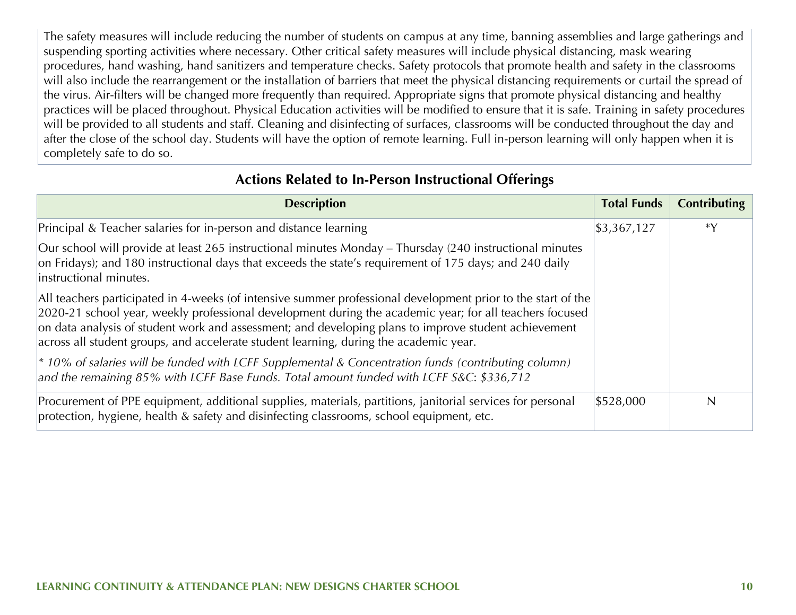The safety measures will include reducing the number of students on campus at any time, banning assemblies and large gatherings and suspending sporting activities where necessary. Other critical safety measures will include physical distancing, mask wearing procedures, hand washing, hand sanitizers and temperature checks. Safety protocols that promote health and safety in the classrooms will also include the rearrangement or the installation of barriers that meet the physical distancing requirements or curtail the spread of the virus. Air-filters will be changed more frequently than required. Appropriate signs that promote physical distancing and healthy practices will be placed throughout. Physical Education activities will be modified to ensure that it is safe. Training in safety procedures will be provided to all students and staff. Cleaning and disinfecting of surfaces, classrooms will be conducted throughout the day and after the close of the school day. Students will have the option of remote learning. Full in-person learning will only happen when it is completely safe to do so.

#### **Actions Related to In-Person Instructional Offerings**

| <b>Description</b>                                                                                                                                                                                                                                                                                                                                                                                                       | <b>Total Funds</b>       | <b>Contributing</b> |
|--------------------------------------------------------------------------------------------------------------------------------------------------------------------------------------------------------------------------------------------------------------------------------------------------------------------------------------------------------------------------------------------------------------------------|--------------------------|---------------------|
| Principal & Teacher salaries for in-person and distance learning                                                                                                                                                                                                                                                                                                                                                         | $\frac{1}{3}$ , 367, 127 | $*V$                |
| Our school will provide at least 265 instructional minutes Monday – Thursday (240 instructional minutes<br>on Fridays); and 180 instructional days that exceeds the state's requirement of 175 days; and 240 daily<br>instructional minutes.                                                                                                                                                                             |                          |                     |
| All teachers participated in 4-weeks (of intensive summer professional development prior to the start of the<br>2020-21 school year, weekly professional development during the academic year; for all teachers focused<br>on data analysis of student work and assessment; and developing plans to improve student achievement<br>across all student groups, and accelerate student learning, during the academic year. |                          |                     |
| $\vert$ * 10% of salaries will be funded with LCFF Supplemental & Concentration funds (contributing column)<br>and the remaining 85% with LCFF Base Funds. Total amount funded with LCFF S&C: \$336,712                                                                                                                                                                                                                  |                          |                     |
| Procurement of PPE equipment, additional supplies, materials, partitions, janitorial services for personal<br>protection, hygiene, health & safety and disinfecting classrooms, school equipment, etc.                                                                                                                                                                                                                   | \$528,000                | N                   |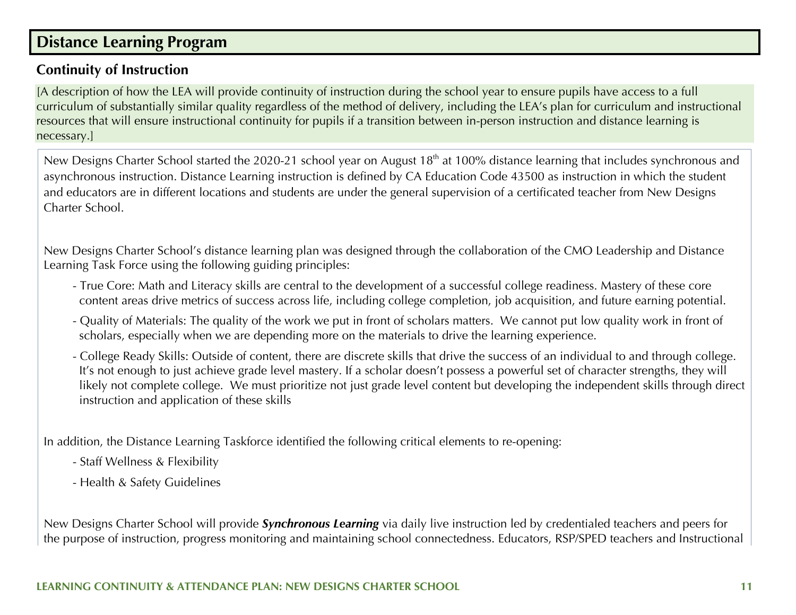## **Distance Learning Program**

### **Continuity of Instruction**

[A description of how the LEA will provide continuity of instruction during the school year to ensure pupils have access to a full curriculum of substantially similar quality regardless of the method of delivery, including the LEA's plan for curriculum and instructional resources that will ensure instructional continuity for pupils if a transition between in-person instruction and distance learning is necessary.]

New Designs Charter School started the 2020-21 school year on August 18<sup>th</sup> at 100% distance learning that includes synchronous and asynchronous instruction. Distance Learning instruction is defined by CA Education Code 43500 as instruction in which the student and educators are in different locations and students are under the general supervision of a certificated teacher from New Designs Charter School.

New Designs Charter School's distance learning plan was designed through the collaboration of the CMO Leadership and Distance Learning Task Force using the following guiding principles:

- True Core: Math and Literacy skills are central to the development of a successful college readiness. Mastery of these core content areas drive metrics of success across life, including college completion, job acquisition, and future earning potential.
- Quality of Materials: The quality of the work we put in front of scholars matters. We cannot put low quality work in front of scholars, especially when we are depending more on the materials to drive the learning experience.
- College Ready Skills: Outside of content, there are discrete skills that drive the success of an individual to and through college. It's not enough to just achieve grade level mastery. If a scholar doesn't possess a powerful set of character strengths, they will likely not complete college. We must prioritize not just grade level content but developing the independent skills through direct instruction and application of these skills

In addition, the Distance Learning Taskforce identified the following critical elements to re-opening:

- Staff Wellness & Flexibility
- Health & Safety Guidelines

New Designs Charter School will provide *Synchronous Learning* via daily live instruction led by credentialed teachers and peers for the purpose of instruction, progress monitoring and maintaining school connectedness. Educators, RSP/SPED teachers and Instructional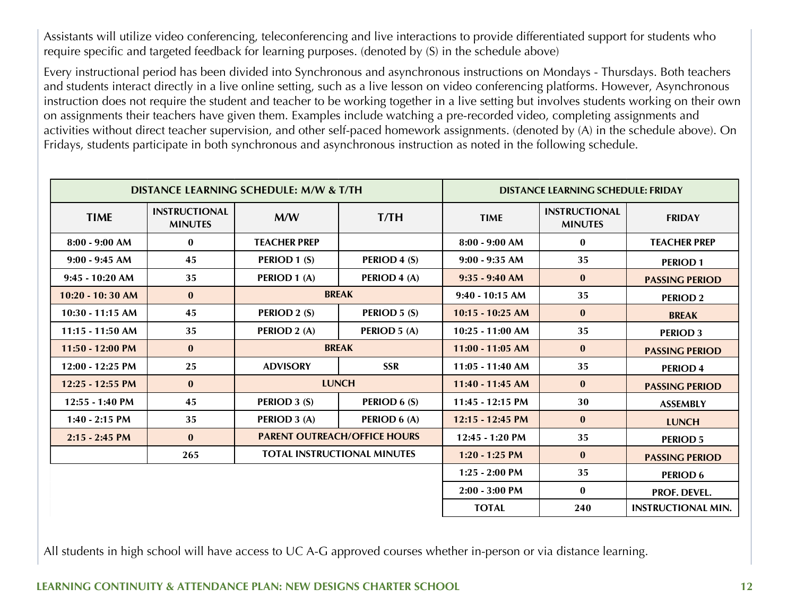Assistants will utilize video conferencing, teleconferencing and live interactions to provide differentiated support for students who require specific and targeted feedback for learning purposes. (denoted by (S) in the schedule above)

Every instructional period has been divided into Synchronous and asynchronous instructions on Mondays - Thursdays. Both teachers and students interact directly in a live online setting, such as a live lesson on video conferencing platforms. However, Asynchronous instruction does not require the student and teacher to be working together in a live setting but involves students working on their own on assignments their teachers have given them. Examples include watching a pre-recorded video, completing assignments and activities without direct teacher supervision, and other self-paced homework assignments. (denoted by (A) in the schedule above). On Fridays, students participate in both synchronous and asynchronous instruction as noted in the following schedule.

|                    |                                        | DISTANCE LEARNING SCHEDULE: M/W & T/TH | DISTANCE LEARNING SCHEDULE: FRIDAY  |                    |                                        |                           |
|--------------------|----------------------------------------|----------------------------------------|-------------------------------------|--------------------|----------------------------------------|---------------------------|
| <b>TIME</b>        | <b>INSTRUCTIONAL</b><br><b>MINUTES</b> | M/W                                    | T/TH                                | <b>TIME</b>        | <b>INSTRUCTIONAL</b><br><b>MINUTES</b> | <b>FRIDAY</b>             |
| $8:00 - 9:00 AM$   | $\bf{0}$                               | <b>TEACHER PREP</b>                    |                                     | $8:00 - 9:00 AM$   | $\bf{0}$                               | <b>TEACHER PREP</b>       |
| $9:00 - 9:45 AM$   | 45                                     | PERIOD 1 (S)                           | PERIOD 4 (S)                        | $9:00 - 9:35 AM$   | 35                                     | <b>PERIOD1</b>            |
| 9:45 - 10:20 AM    | 35                                     | PERIOD 1 (A)                           | PERIOD 4 (A)                        | $9:35 - 9:40$ AM   | $\bf{0}$                               | <b>PASSING PERIOD</b>     |
| $10:20 - 10:30$ AM | $\bf{0}$                               |                                        | <b>BREAK</b>                        | $9:40 - 10:15$ AM  | 35                                     | <b>PERIOD 2</b>           |
| $10:30 - 11:15$ AM | 45                                     | PERIOD 2 (S)                           | PERIOD 5 (S)                        | $10:15 - 10:25$ AM | $\bf{0}$                               | <b>BREAK</b>              |
| 11:15 - 11:50 AM   | 35                                     | PERIOD 2 (A)                           | PERIOD 5 (A)                        | $10:25 - 11:00$ AM | 35                                     | <b>PERIOD 3</b>           |
| 11:50 - 12:00 PM   | $\bf{0}$                               | <b>BREAK</b>                           |                                     | $11:00 - 11:05$ AM | $\bf{0}$                               | <b>PASSING PERIOD</b>     |
| 12:00 - 12:25 PM   | 25                                     | <b>ADVISORY</b>                        | <b>SSR</b>                          | $11:05 - 11:40$ AM | 35                                     | <b>PERIOD 4</b>           |
| 12:25 - 12:55 PM   | $\bf{0}$                               | <b>LUNCH</b>                           |                                     | 11:40 - 11:45 AM   | $\bf{0}$                               | <b>PASSING PERIOD</b>     |
| $12:55 - 1:40$ PM  | 45                                     | PERIOD 3 (S)                           | PERIOD 6 (S)                        | $11:45 - 12:15$ PM | 30                                     | <b>ASSEMBLY</b>           |
| $1:40 - 2:15$ PM   | 35                                     | PERIOD 3 (A)                           | PERIOD 6 (A)                        | $12:15 - 12:45$ PM | $\bf{0}$                               | <b>LUNCH</b>              |
| $2:15 - 2:45$ PM   | $\bf{0}$                               |                                        | <b>PARENT OUTREACH/OFFICE HOURS</b> | $12:45 - 1:20$ PM  | 35                                     | <b>PERIOD 5</b>           |
|                    | 265                                    | <b>TOTAL INSTRUCTIONAL MINUTES</b>     |                                     | $1:20 - 1:25$ PM   | $\bf{0}$                               | <b>PASSING PERIOD</b>     |
|                    |                                        |                                        |                                     | $1:25 - 2:00$ PM   | 35                                     | <b>PERIOD 6</b>           |
|                    |                                        |                                        |                                     | $2:00 - 3:00$ PM   | $\bf{0}$                               | <b>PROF. DEVEL.</b>       |
|                    |                                        |                                        |                                     | <b>TOTAL</b>       | 240                                    | <b>INSTRUCTIONAL MIN.</b> |

All students in high school will have access to UC A-G approved courses whether in-person or via distance learning.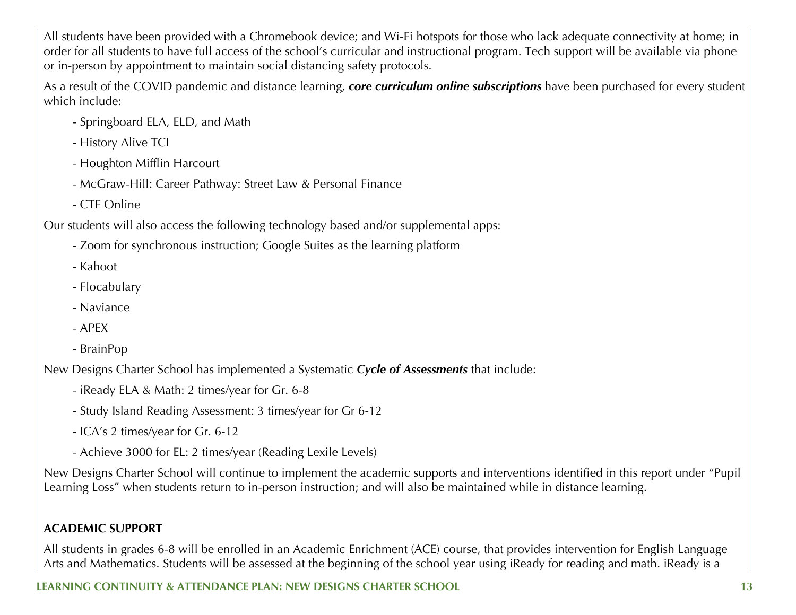All students have been provided with a Chromebook device; and Wi-Fi hotspots for those who lack adequate connectivity at home; in order for all students to have full access of the school's curricular and instructional program. Tech support will be available via phone or in-person by appointment to maintain social distancing safety protocols.

As a result of the COVID pandemic and distance learning, *core curriculum online subscriptions* have been purchased for every student which include:

- Springboard ELA, ELD, and Math
- History Alive TCI
- Houghton Mifflin Harcourt
- McGraw-Hill: Career Pathway: Street Law & Personal Finance
- CTE Online

Our students will also access the following technology based and/or supplemental apps:

- Zoom for synchronous instruction; Google Suites as the learning platform
- Kahoot
- Flocabulary
- Naviance
- APEX
- BrainPop

New Designs Charter School has implemented a Systematic *Cycle of Assessments* that include:

- iReady ELA & Math: 2 times/year for Gr. 6-8
- Study Island Reading Assessment: 3 times/year for Gr 6-12
- ICA's 2 times/year for Gr. 6-12
- Achieve 3000 for EL: 2 times/year (Reading Lexile Levels)

New Designs Charter School will continue to implement the academic supports and interventions identified in this report under "Pupil Learning Loss" when students return to in-person instruction; and will also be maintained while in distance learning.

#### **ACADEMIC SUPPORT**

All students in grades 6-8 will be enrolled in an Academic Enrichment (ACE) course, that provides intervention for English Language Arts and Mathematics. Students will be assessed at the beginning of the school year using iReady for reading and math. iReady is a

### **LEARNING CONTINUITY & ATTENDANCE PLAN: NEW DESIGNS CHARTER SCHOOL 13**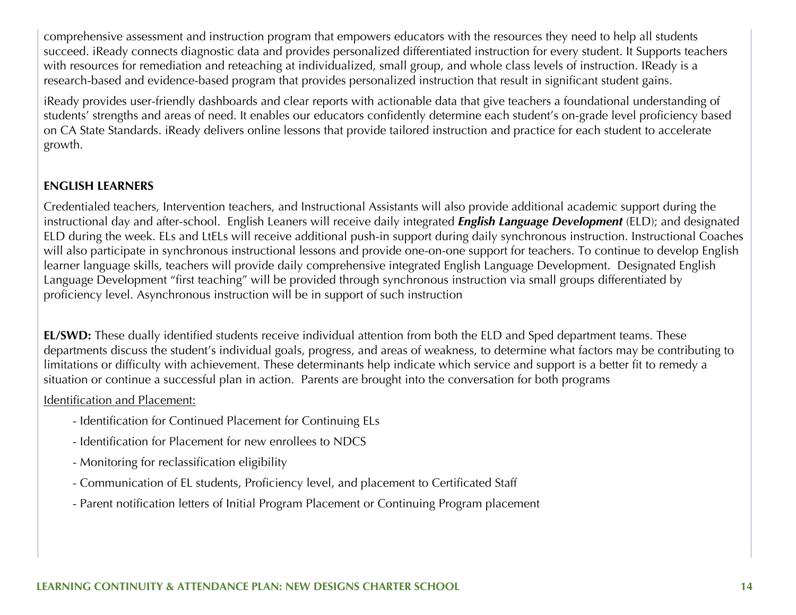comprehensive assessment and instruction program that empowers educators with the resources they need to help all students succeed. iReady connects diagnostic data and provides personalized differentiated instruction for every student. It Supports teachers with resources for remediation and reteaching at individualized, small group, and whole class levels of instruction. IReady is a research-based and evidence-based program that provides personalized instruction that result in significant student gains.

iReady provides user-friendly dashboards and clear reports with actionable data that give teachers a foundational understanding of students' strengths and areas of need. It enables our educators confidently determine each student's on-grade level proficiency based on CA State Standards. iReady delivers online lessons that provide tailored instruction and practice for each student to accelerate growth.

#### **ENGLISH LEARNERS**

Credentialed teachers, Intervention teachers, and Instructional Assistants will also provide additional academic support during the instructional day and after-school. English Leaners will receive daily integrated *English Language Development* (ELD); and designated ELD during the week. ELs and LtELs will receive additional push-in support during daily synchronous instruction. Instructional Coaches will also participate in synchronous instructional lessons and provide one-on-one support for teachers. To continue to develop English learner language skills, teachers will provide daily comprehensive integrated English Language Development. Designated English Language Development "first teaching" will be provided through synchronous instruction via small groups differentiated by proficiency level. Asynchronous instruction will be in support of such instruction

**EL/SWD:** These dually identified students receive individual attention from both the ELD and Sped department teams. These departments discuss the student's individual goals, progress, and areas of weakness, to determine what factors may be contributing to limitations or difficulty with achievement. These determinants help indicate which service and support is a better fit to remedy a situation or continue a successful plan in action. Parents are brought into the conversation for both programs

Identification and Placement:

- Identification for Continued Placement for Continuing ELs
- Identification for Placement for new enrollees to NDCS
- Monitoring for reclassification eligibility
- Communication of EL students, Proficiency level, and placement to Certificated Staff
- Parent notification letters of Initial Program Placement or Continuing Program placement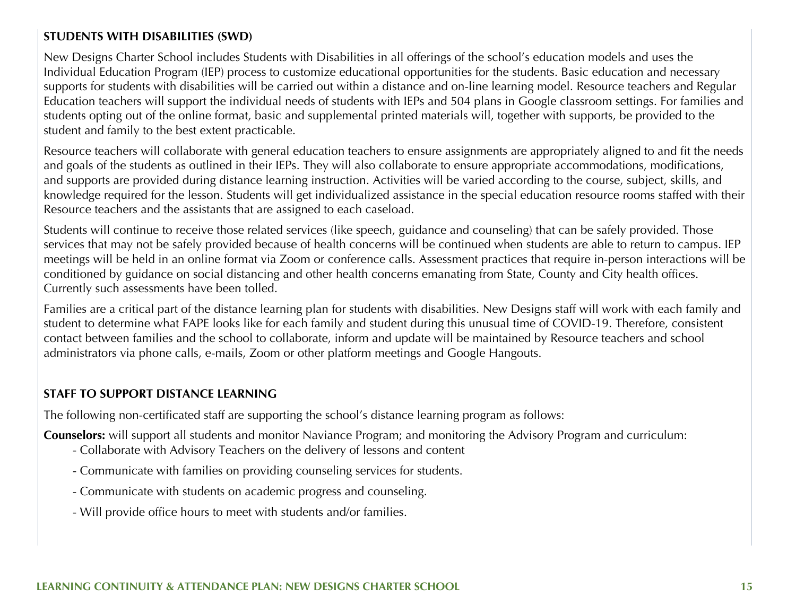#### **STUDENTS WITH DISABILITIES (SWD)**

New Designs Charter School includes Students with Disabilities in all offerings of the school's education models and uses the Individual Education Program (IEP) process to customize educational opportunities for the students. Basic education and necessary supports for students with disabilities will be carried out within a distance and on-line learning model. Resource teachers and Regular Education teachers will support the individual needs of students with IEPs and 504 plans in Google classroom settings. For families and students opting out of the online format, basic and supplemental printed materials will, together with supports, be provided to the student and family to the best extent practicable.

Resource teachers will collaborate with general education teachers to ensure assignments are appropriately aligned to and fit the needs and goals of the students as outlined in their IEPs. They will also collaborate to ensure appropriate accommodations, modifications, and supports are provided during distance learning instruction. Activities will be varied according to the course, subject, skills, and knowledge required for the lesson. Students will get individualized assistance in the special education resource rooms staffed with their Resource teachers and the assistants that are assigned to each caseload.

Students will continue to receive those related services (like speech, guidance and counseling) that can be safely provided. Those services that may not be safely provided because of health concerns will be continued when students are able to return to campus. IEP meetings will be held in an online format via Zoom or conference calls. Assessment practices that require in-person interactions will be conditioned by guidance on social distancing and other health concerns emanating from State, County and City health offices. Currently such assessments have been tolled.

Families are a critical part of the distance learning plan for students with disabilities. New Designs staff will work with each family and student to determine what FAPE looks like for each family and student during this unusual time of COVID-19. Therefore, consistent contact between families and the school to collaborate, inform and update will be maintained by Resource teachers and school administrators via phone calls, e-mails, Zoom or other platform meetings and Google Hangouts.

#### **STAFF TO SUPPORT DISTANCE LEARNING**

The following non-certificated staff are supporting the school's distance learning program as follows:

**Counselors:** will support all students and monitor Naviance Program; and monitoring the Advisory Program and curriculum:

- Collaborate with Advisory Teachers on the delivery of lessons and content
- Communicate with families on providing counseling services for students.
- Communicate with students on academic progress and counseling.
- Will provide office hours to meet with students and/or families.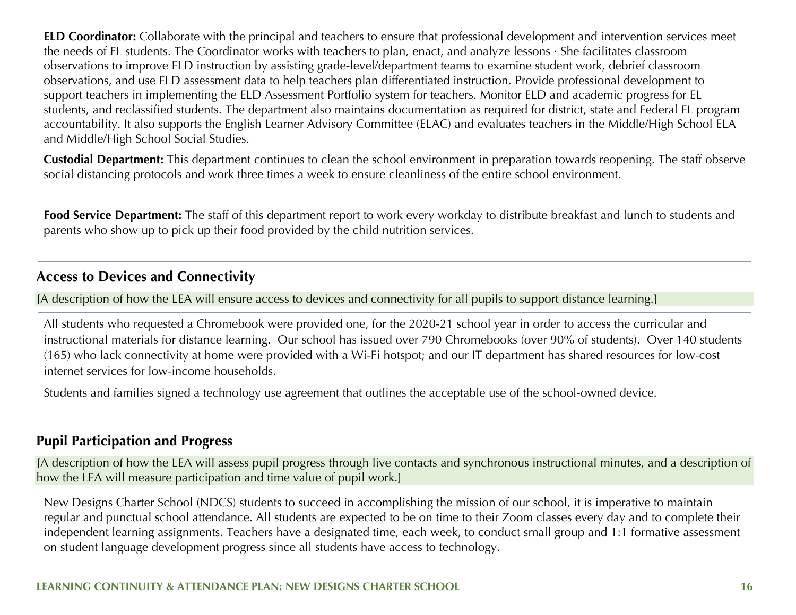**ELD Coordinator:** Collaborate with the principal and teachers to ensure that professional development and intervention services meet the needs of EL students. The Coordinator works with teachers to plan, enact, and analyze lessons · She facilitates classroom observations to improve ELD instruction by assisting grade-level/department teams to examine student work, debrief classroom observations, and use ELD assessment data to help teachers plan differentiated instruction. Provide professional development to support teachers in implementing the ELD Assessment Portfolio system for teachers. Monitor ELD and academic progress for EL students, and reclassified students. The department also maintains documentation as required for district, state and Federal EL program accountability. It also supports the English Learner Advisory Committee (ELAC) and evaluates teachers in the Middle/High School ELA and Middle/High School Social Studies.

**Custodial Department:** This department continues to clean the school environment in preparation towards reopening. The staff observe social distancing protocols and work three times a week to ensure cleanliness of the entire school environment.

**Food Service Department:** The staff of this department report to work every workday to distribute breakfast and lunch to students and parents who show up to pick up their food provided by the child nutrition services.

#### **Access to Devices and Connectivity**

[A description of how the LEA will ensure access to devices and connectivity for all pupils to support distance learning.]

All students who requested a Chromebook were provided one, for the 2020-21 school year in order to access the curricular and instructional materials for distance learning. Our school has issued over 790 Chromebooks (over 90% of students). Over 140 students (165) who lack connectivity at home were provided with a Wi-Fi hotspot; and our IT department has shared resources for low-cost internet services for low-income households.

Students and families signed a technology use agreement that outlines the acceptable use of the school-owned device.

#### **Pupil Participation and Progress**

[A description of how the LEA will assess pupil progress through live contacts and synchronous instructional minutes, and a description of how the LEA will measure participation and time value of pupil work.]

New Designs Charter School (NDCS) students to succeed in accomplishing the mission of our school, it is imperative to maintain regular and punctual school attendance. All students are expected to be on time to their Zoom classes every day and to complete their independent learning assignments. Teachers have a designated time, each week, to conduct small group and 1:1 formative assessment on student language development progress since all students have access to technology.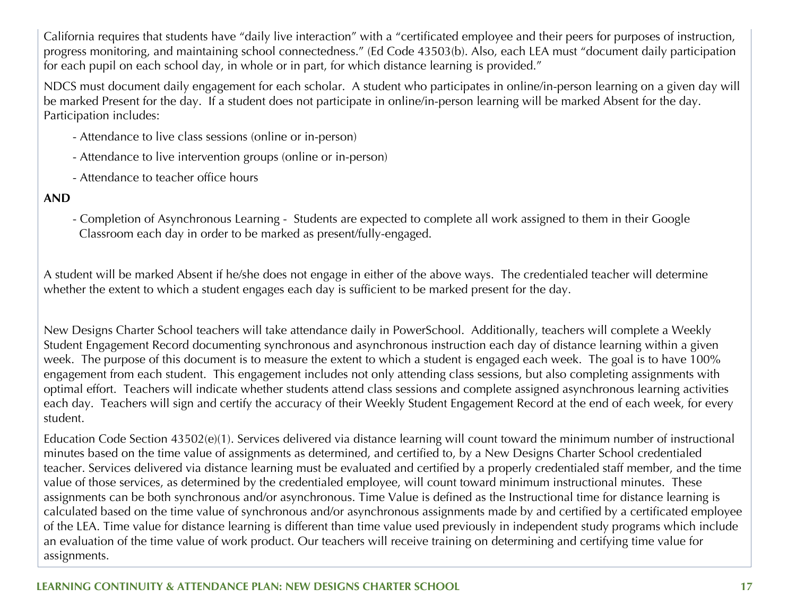California requires that students have "daily live interaction" with a "certificated employee and their peers for purposes of instruction, progress monitoring, and maintaining school connectedness." (Ed Code 43503(b). Also, each LEA must "document daily participation for each pupil on each school day, in whole or in part, for which distance learning is provided."

NDCS must document daily engagement for each scholar. A student who participates in online/in-person learning on a given day will be marked Present for the day. If a student does not participate in online/in-person learning will be marked Absent for the day. Participation includes:

- Attendance to live class sessions (online or in-person)
- Attendance to live intervention groups (online or in-person)
- Attendance to teacher office hours

#### **AND**

- Completion of Asynchronous Learning - Students are expected to complete all work assigned to them in their Google Classroom each day in order to be marked as present/fully-engaged.

A student will be marked Absent if he/she does not engage in either of the above ways. The credentialed teacher will determine whether the extent to which a student engages each day is sufficient to be marked present for the day.

New Designs Charter School teachers will take attendance daily in PowerSchool. Additionally, teachers will complete a Weekly Student Engagement Record documenting synchronous and asynchronous instruction each day of distance learning within a given week. The purpose of this document is to measure the extent to which a student is engaged each week. The goal is to have 100% engagement from each student. This engagement includes not only attending class sessions, but also completing assignments with optimal effort. Teachers will indicate whether students attend class sessions and complete assigned asynchronous learning activities each day. Teachers will sign and certify the accuracy of their Weekly Student Engagement Record at the end of each week, for every student.

Education Code Section 43502(e)(1). Services delivered via distance learning will count toward the minimum number of instructional minutes based on the time value of assignments as determined, and certified to, by a New Designs Charter School credentialed teacher. Services delivered via distance learning must be evaluated and certified by a properly credentialed staff member, and the time value of those services, as determined by the credentialed employee, will count toward minimum instructional minutes. These assignments can be both synchronous and/or asynchronous. Time Value is defined as the Instructional time for distance learning is calculated based on the time value of synchronous and/or asynchronous assignments made by and certified by a certificated employee of the LEA. Time value for distance learning is different than time value used previously in independent study programs which include an evaluation of the time value of work product. Our teachers will receive training on determining and certifying time value for assignments.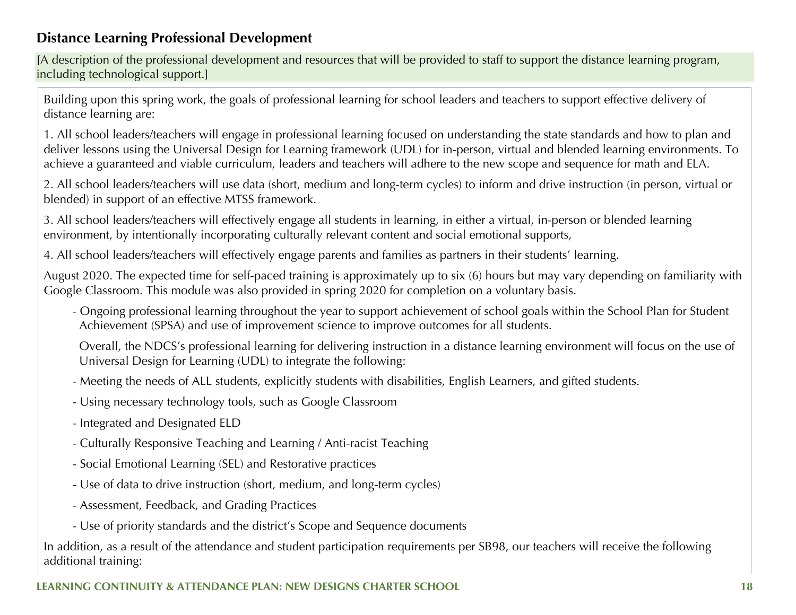### **Distance Learning Professional Development**

[A description of the professional development and resources that will be provided to staff to support the distance learning program, including technological support.]

Building upon this spring work, the goals of professional learning for school leaders and teachers to support effective delivery of distance learning are:

1. All school leaders/teachers will engage in professional learning focused on understanding the state standards and how to plan and deliver lessons using the Universal Design for Learning framework (UDL) for in-person, virtual and blended learning environments. To achieve a guaranteed and viable curriculum, leaders and teachers will adhere to the new scope and sequence for math and ELA.

2. All school leaders/teachers will use data (short, medium and long-term cycles) to inform and drive instruction (in person, virtual or blended) in support of an effective MTSS framework.

3. All school leaders/teachers will effectively engage all students in learning, in either a virtual, in-person or blended learning environment, by intentionally incorporating culturally relevant content and social emotional supports,

4. All school leaders/teachers will effectively engage parents and families as partners in their students' learning.

August 2020. The expected time for self-paced training is approximately up to six (6) hours but may vary depending on familiarity with Google Classroom. This module was also provided in spring 2020 for completion on a voluntary basis.

- Ongoing professional learning throughout the year to support achievement of school goals within the School Plan for Student Achievement (SPSA) and use of improvement science to improve outcomes for all students.

 Overall, the NDCS's professional learning for delivering instruction in a distance learning environment will focus on the use of Universal Design for Learning (UDL) to integrate the following:

- Meeting the needs of ALL students, explicitly students with disabilities, English Learners, and gifted students.
- Using necessary technology tools, such as Google Classroom
- Integrated and Designated ELD
- Culturally Responsive Teaching and Learning / Anti-racist Teaching
- Social Emotional Learning (SEL) and Restorative practices
- Use of data to drive instruction (short, medium, and long-term cycles)
- Assessment, Feedback, and Grading Practices
- Use of priority standards and the district's Scope and Sequence documents

In addition, as a result of the attendance and student participation requirements per SB98, our teachers will receive the following additional training: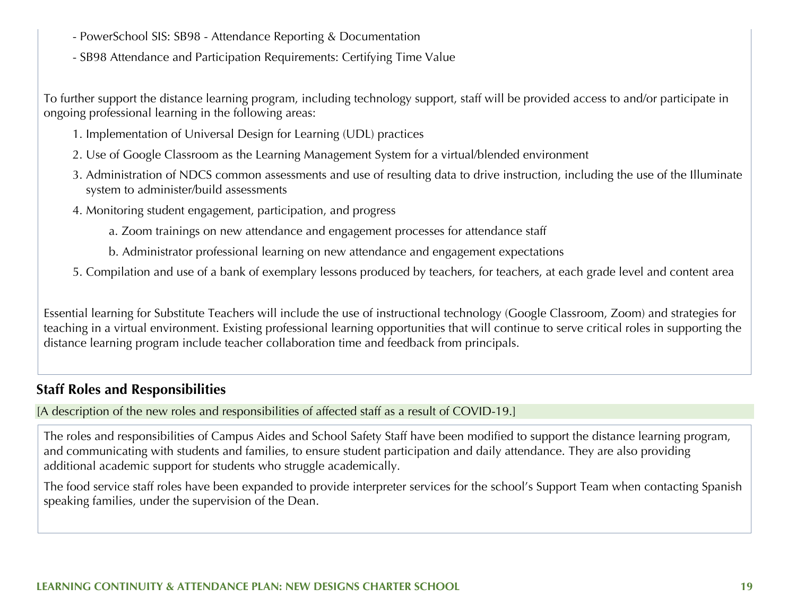- PowerSchool SIS: SB98 Attendance Reporting & Documentation
- SB98 Attendance and Participation Requirements: Certifying Time Value

To further support the distance learning program, including technology support, staff will be provided access to and/or participate in ongoing professional learning in the following areas:

- 1. Implementation of Universal Design for Learning (UDL) practices
- 2. Use of Google Classroom as the Learning Management System for a virtual/blended environment
- 3. Administration of NDCS common assessments and use of resulting data to drive instruction, including the use of the Illuminate system to administer/build assessments
- 4. Monitoring student engagement, participation, and progress
	- a. Zoom trainings on new attendance and engagement processes for attendance staff
	- b. Administrator professional learning on new attendance and engagement expectations
- 5. Compilation and use of a bank of exemplary lessons produced by teachers, for teachers, at each grade level and content area

Essential learning for Substitute Teachers will include the use of instructional technology (Google Classroom, Zoom) and strategies for teaching in a virtual environment. Existing professional learning opportunities that will continue to serve critical roles in supporting the distance learning program include teacher collaboration time and feedback from principals.

### **Staff Roles and Responsibilities**

[A description of the new roles and responsibilities of affected staff as a result of COVID-19.]

The roles and responsibilities of Campus Aides and School Safety Staff have been modified to support the distance learning program, and communicating with students and families, to ensure student participation and daily attendance. They are also providing additional academic support for students who struggle academically.

The food service staff roles have been expanded to provide interpreter services for the school's Support Team when contacting Spanish speaking families, under the supervision of the Dean.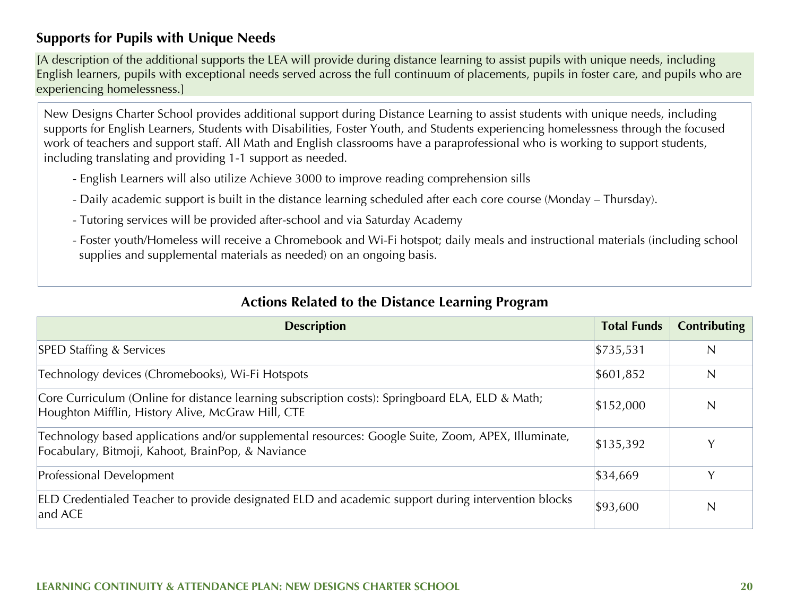### **Supports for Pupils with Unique Needs**

[A description of the additional supports the LEA will provide during distance learning to assist pupils with unique needs, including English learners, pupils with exceptional needs served across the full continuum of placements, pupils in foster care, and pupils who are experiencing homelessness.]

New Designs Charter School provides additional support during Distance Learning to assist students with unique needs, including supports for English Learners, Students with Disabilities, Foster Youth, and Students experiencing homelessness through the focused work of teachers and support staff. All Math and English classrooms have a paraprofessional who is working to support students, including translating and providing 1-1 support as needed.

- English Learners will also utilize Achieve 3000 to improve reading comprehension sills
- Daily academic support is built in the distance learning scheduled after each core course (Monday Thursday).
- Tutoring services will be provided after-school and via Saturday Academy
- Foster youth/Homeless will receive a Chromebook and Wi-Fi hotspot; daily meals and instructional materials (including school supplies and supplemental materials as needed) on an ongoing basis.

| <b>Description</b>                                                                                                                                      | <b>Total Funds</b> | <b>Contributing</b> |
|---------------------------------------------------------------------------------------------------------------------------------------------------------|--------------------|---------------------|
| <b>SPED Staffing &amp; Services</b>                                                                                                                     | \$735,531          | N                   |
| Technology devices (Chromebooks), Wi-Fi Hotspots                                                                                                        | \$601,852          | $\mathsf{N}$        |
| Core Curriculum (Online for distance learning subscription costs): Springboard ELA, ELD & Math;<br>Houghton Mifflin, History Alive, McGraw Hill, CTE    | \$152,000          |                     |
| Technology based applications and/or supplemental resources: Google Suite, Zoom, APEX, Illuminate,<br>Focabulary, Bitmoji, Kahoot, BrainPop, & Naviance |                    |                     |
| Professional Development                                                                                                                                | \$34,669           | $\check{ }$         |
| ELD Credentialed Teacher to provide designated ELD and academic support during intervention blocks<br>and ACE                                           | \$93,600           | N                   |

### **Actions Related to the Distance Learning Program**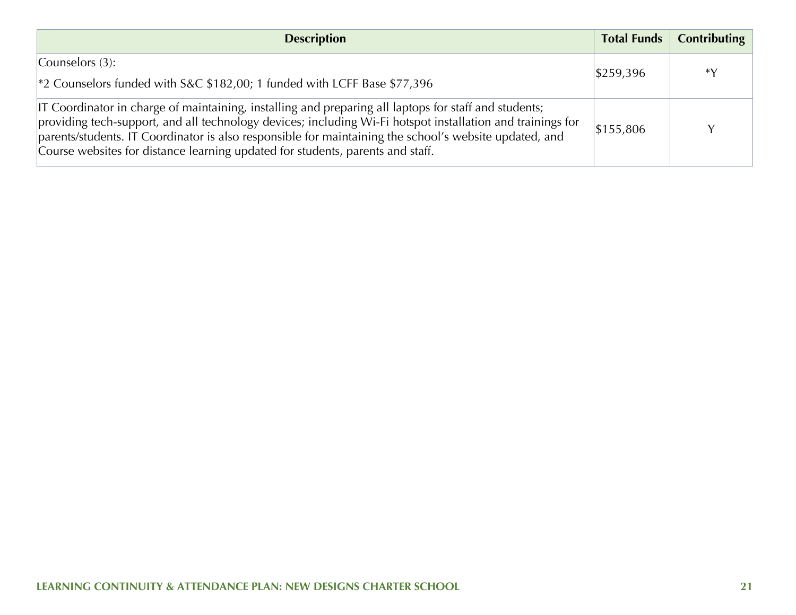| <b>Description</b>                                                                                                                                                                                                                                                                                                                                                                                                           |           | Total Funds   Contributing |
|------------------------------------------------------------------------------------------------------------------------------------------------------------------------------------------------------------------------------------------------------------------------------------------------------------------------------------------------------------------------------------------------------------------------------|-----------|----------------------------|
| Counselors $(3)$ :<br><sup>2</sup> 2 Counselors funded with S&C \$182,00; 1 funded with LCFF Base \$77,396                                                                                                                                                                                                                                                                                                                   | \$259,396 | *Y                         |
| IT Coordinator in charge of maintaining, installing and preparing all laptops for staff and students;<br>providing tech-support, and all technology devices; including Wi-Fi hotspot installation and trainings for<br>\$155,806<br>parents/students. IT Coordinator is also responsible for maintaining the school's website updated, and<br>Course websites for distance learning updated for students, parents and staff. |           |                            |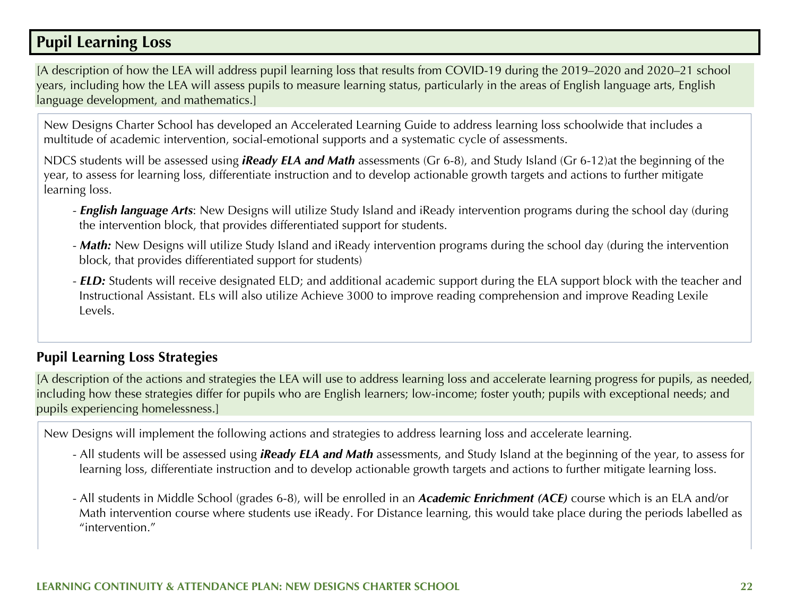## **Pupil Learning Loss**

[A description of how the LEA will address pupil learning loss that results from COVID-19 during the 2019–2020 and 2020–21 school years, including how the LEA will assess pupils to measure learning status, particularly in the areas of English language arts, English language development, and mathematics.]

New Designs Charter School has developed an Accelerated Learning Guide to address learning loss schoolwide that includes a multitude of academic intervention, social-emotional supports and a systematic cycle of assessments.

NDCS students will be assessed using *iReady ELA and Math* assessments (Gr 6-8), and Study Island (Gr 6-12)at the beginning of the year, to assess for learning loss, differentiate instruction and to develop actionable growth targets and actions to further mitigate learning loss.

- *English language Arts*: New Designs will utilize Study Island and iReady intervention programs during the school day (during the intervention block, that provides differentiated support for students.
- *Math:* New Designs will utilize Study Island and iReady intervention programs during the school day (during the intervention block, that provides differentiated support for students)
- *ELD:* Students will receive designated ELD; and additional academic support during the ELA support block with the teacher and Instructional Assistant. ELs will also utilize Achieve 3000 to improve reading comprehension and improve Reading Lexile Levels.

### **Pupil Learning Loss Strategies**

[A description of the actions and strategies the LEA will use to address learning loss and accelerate learning progress for pupils, as needed, including how these strategies differ for pupils who are English learners; low-income; foster youth; pupils with exceptional needs; and pupils experiencing homelessness.]

New Designs will implement the following actions and strategies to address learning loss and accelerate learning.

- All students will be assessed using *iReady ELA and Math* assessments, and Study Island at the beginning of the year, to assess for learning loss, differentiate instruction and to develop actionable growth targets and actions to further mitigate learning loss.
- All students in Middle School (grades 6-8), will be enrolled in an *Academic Enrichment (ACE)* course which is an ELA and/or Math intervention course where students use iReady. For Distance learning, this would take place during the periods labelled as "intervention."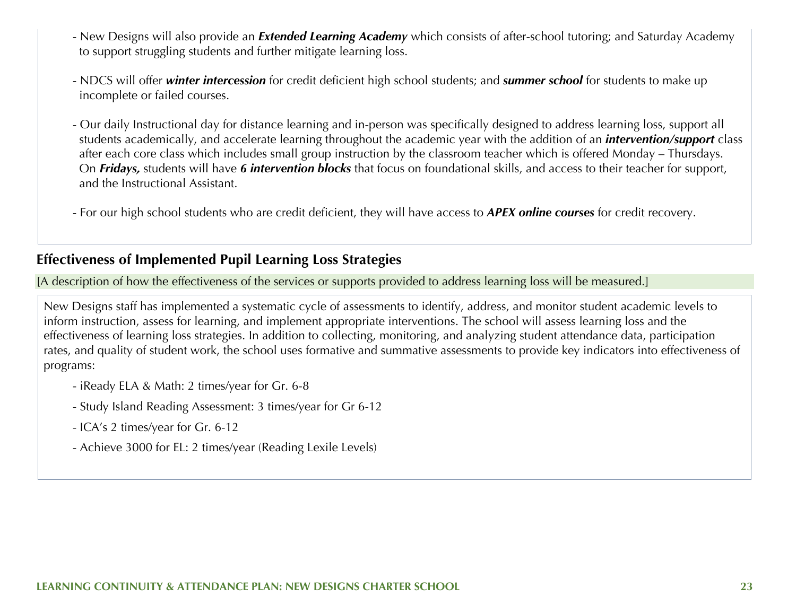- New Designs will also provide an *Extended Learning Academy* which consists of after-school tutoring; and Saturday Academy to support struggling students and further mitigate learning loss.
- NDCS will offer *winter intercession* for credit deficient high school students; and *summer school* for students to make up incomplete or failed courses.
- Our daily Instructional day for distance learning and in-person was specifically designed to address learning loss, support all students academically, and accelerate learning throughout the academic year with the addition of an *intervention/support* class after each core class which includes small group instruction by the classroom teacher which is offered Monday – Thursdays. On *Fridays,* students will have *6 intervention blocks* that focus on foundational skills, and access to their teacher for support, and the Instructional Assistant.
- For our high school students who are credit deficient, they will have access to *APEX online courses* for credit recovery.

#### **Effectiveness of Implemented Pupil Learning Loss Strategies**

[A description of how the effectiveness of the services or supports provided to address learning loss will be measured.]

New Designs staff has implemented a systematic cycle of assessments to identify, address, and monitor student academic levels to inform instruction, assess for learning, and implement appropriate interventions. The school will assess learning loss and the effectiveness of learning loss strategies. In addition to collecting, monitoring, and analyzing student attendance data, participation rates, and quality of student work, the school uses formative and summative assessments to provide key indicators into effectiveness of programs:

- iReady ELA & Math: 2 times/year for Gr. 6-8
- Study Island Reading Assessment: 3 times/year for Gr 6-12
- ICA's 2 times/year for Gr. 6-12
- Achieve 3000 for EL: 2 times/year (Reading Lexile Levels)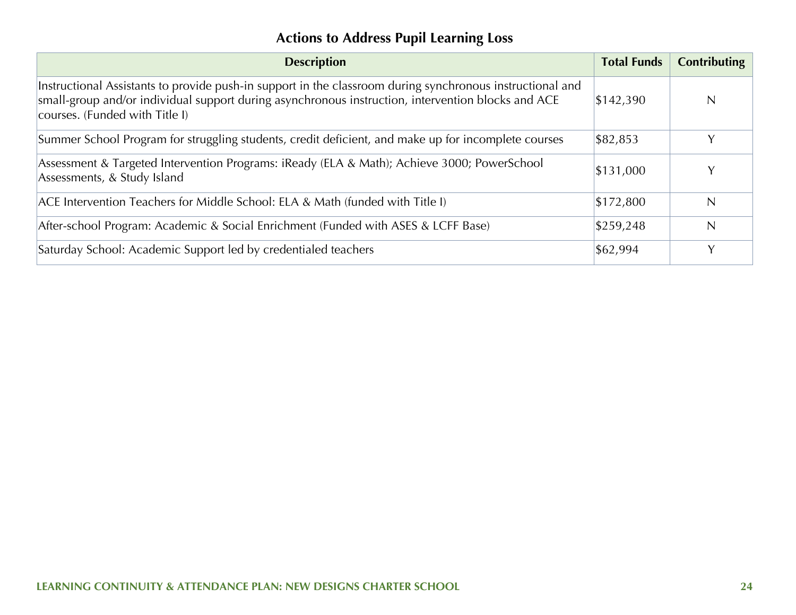## **Actions to Address Pupil Learning Loss**

| <b>Description</b>                                                                                                                                                                                                                                | <b>Total Funds</b> | <b>Contributing</b> |
|---------------------------------------------------------------------------------------------------------------------------------------------------------------------------------------------------------------------------------------------------|--------------------|---------------------|
| Instructional Assistants to provide push-in support in the classroom during synchronous instructional and<br>small-group and/or individual support during asynchronous instruction, intervention blocks and ACE<br>courses. (Funded with Title I) | \$142,390          | N                   |
| Summer School Program for struggling students, credit deficient, and make up for incomplete courses                                                                                                                                               | \$82,853           | Y                   |
| Assessment & Targeted Intervention Programs: iReady (ELA & Math); Achieve 3000; PowerSchool<br>Assessments, & Study Island                                                                                                                        | \$131,000          | Y                   |
| ACE Intervention Teachers for Middle School: ELA & Math (funded with Title I)                                                                                                                                                                     | \$172,800          | $\mathsf{N}$        |
| After-school Program: Academic & Social Enrichment (Funded with ASES & LCFF Base)                                                                                                                                                                 | \$259,248          | N                   |
| Saturday School: Academic Support led by credentialed teachers                                                                                                                                                                                    | \$62,994           | Y                   |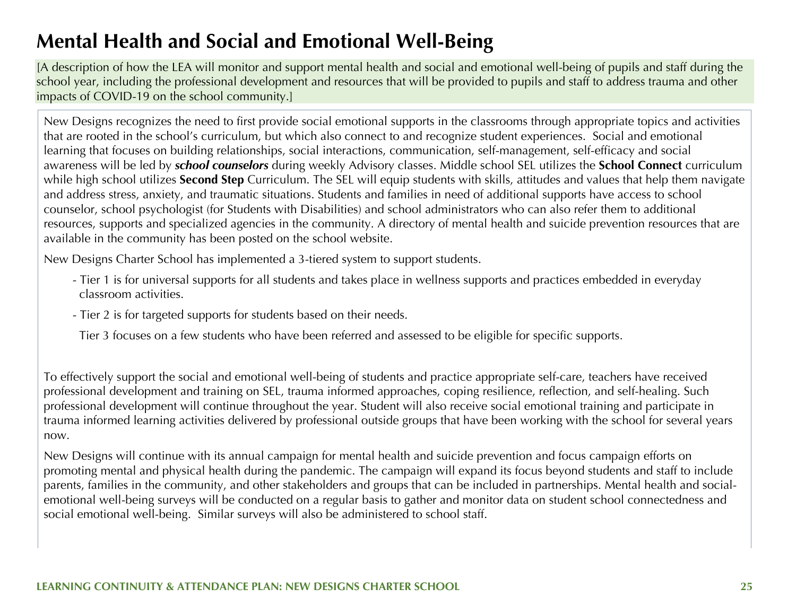## **Mental Health and Social and Emotional Well-Being**

[A description of how the LEA will monitor and support mental health and social and emotional well-being of pupils and staff during the school year, including the professional development and resources that will be provided to pupils and staff to address trauma and other impacts of COVID-19 on the school community.]

New Designs recognizes the need to first provide social emotional supports in the classrooms through appropriate topics and activities that are rooted in the school's curriculum, but which also connect to and recognize student experiences. Social and emotional learning that focuses on building relationships, social interactions, communication, self-management, self-efficacy and social awareness will be led by *school counselors* during weekly Advisory classes. Middle school SEL utilizes the **School Connect** curriculum while high school utilizes **Second Step** Curriculum. The SEL will equip students with skills, attitudes and values that help them navigate and address stress, anxiety, and traumatic situations. Students and families in need of additional supports have access to school counselor, school psychologist (for Students with Disabilities) and school administrators who can also refer them to additional resources, supports and specialized agencies in the community. A directory of mental health and suicide prevention resources that are available in the community has been posted on the school website.

New Designs Charter School has implemented a 3-tiered system to support students.

- Tier 1 is for universal supports for all students and takes place in wellness supports and practices embedded in everyday classroom activities.
- Tier 2 is for targeted supports for students based on their needs.
- Tier 3 focuses on a few students who have been referred and assessed to be eligible for specific supports.

To effectively support the social and emotional well-being of students and practice appropriate self-care, teachers have received professional development and training on SEL, trauma informed approaches, coping resilience, reflection, and self-healing. Such professional development will continue throughout the year. Student will also receive social emotional training and participate in trauma informed learning activities delivered by professional outside groups that have been working with the school for several years now.

New Designs will continue with its annual campaign for mental health and suicide prevention and focus campaign efforts on promoting mental and physical health during the pandemic. The campaign will expand its focus beyond students and staff to include parents, families in the community, and other stakeholders and groups that can be included in partnerships. Mental health and socialemotional well-being surveys will be conducted on a regular basis to gather and monitor data on student school connectedness and social emotional well-being. Similar surveys will also be administered to school staff.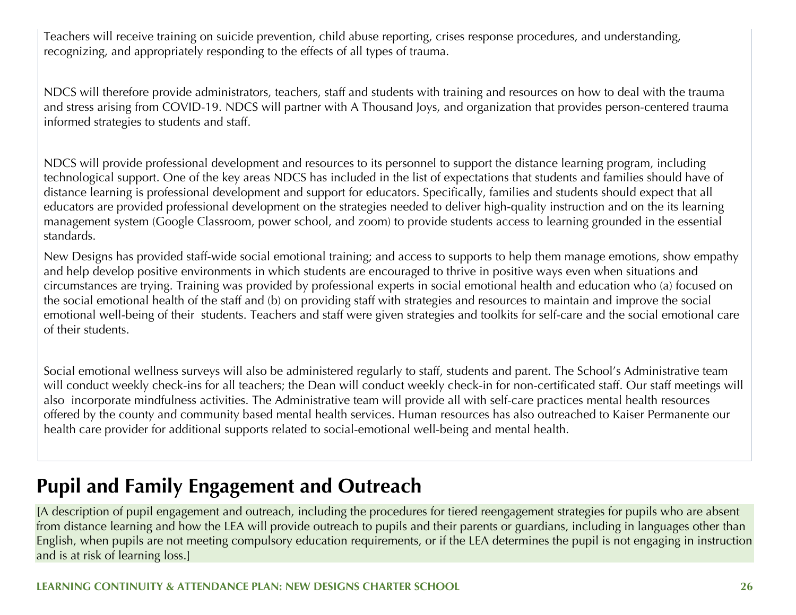Teachers will receive training on suicide prevention, child abuse reporting, crises response procedures, and understanding, recognizing, and appropriately responding to the effects of all types of trauma.

NDCS will therefore provide administrators, teachers, staff and students with training and resources on how to deal with the trauma and stress arising from COVID-19. NDCS will partner with A Thousand Joys, and organization that provides person-centered trauma informed strategies to students and staff.

NDCS will provide professional development and resources to its personnel to support the distance learning program, including technological support. One of the key areas NDCS has included in the list of expectations that students and families should have of distance learning is professional development and support for educators. Specifically, families and students should expect that all educators are provided professional development on the strategies needed to deliver high-quality instruction and on the its learning management system (Google Classroom, power school, and zoom) to provide students access to learning grounded in the essential standards.

New Designs has provided staff-wide social emotional training; and access to supports to help them manage emotions, show empathy and help develop positive environments in which students are encouraged to thrive in positive ways even when situations and circumstances are trying. Training was provided by professional experts in social emotional health and education who (a) focused on the social emotional health of the staff and (b) on providing staff with strategies and resources to maintain and improve the social emotional well-being of their students. Teachers and staff were given strategies and toolkits for self-care and the social emotional care of their students.

Social emotional wellness surveys will also be administered regularly to staff, students and parent. The School's Administrative team will conduct weekly check-ins for all teachers; the Dean will conduct weekly check-in for non-certificated staff. Our staff meetings will also incorporate mindfulness activities. The Administrative team will provide all with self-care practices mental health resources offered by the county and community based mental health services. Human resources has also outreached to Kaiser Permanente our health care provider for additional supports related to social-emotional well-being and mental health.

## **Pupil and Family Engagement and Outreach**

[A description of pupil engagement and outreach, including the procedures for tiered reengagement strategies for pupils who are absent from distance learning and how the LEA will provide outreach to pupils and their parents or guardians, including in languages other than English, when pupils are not meeting compulsory education requirements, or if the LEA determines the pupil is not engaging in instruction and is at risk of learning loss.]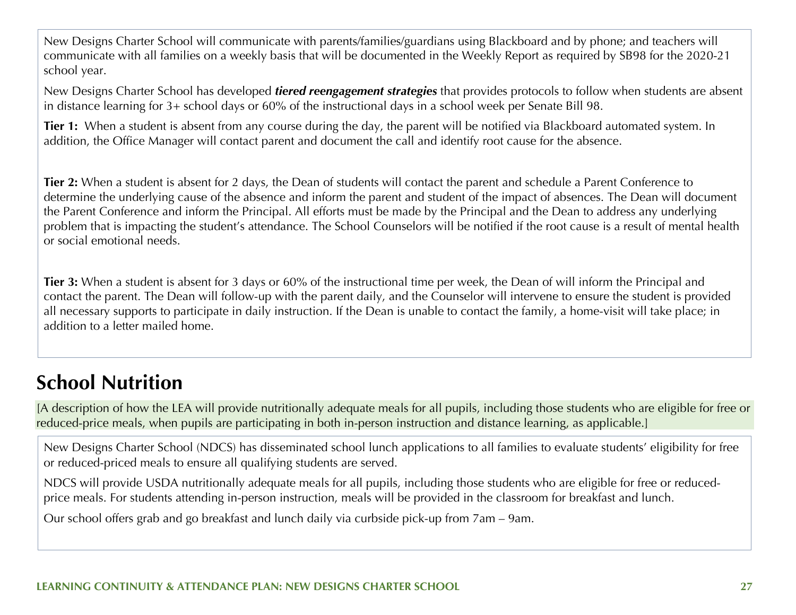New Designs Charter School will communicate with parents/families/guardians using Blackboard and by phone; and teachers will communicate with all families on a weekly basis that will be documented in the Weekly Report as required by SB98 for the 2020-21 school year.

New Designs Charter School has developed *tiered reengagement strategies* that provides protocols to follow when students are absent in distance learning for 3+ school days or 60% of the instructional days in a school week per Senate Bill 98.

**Tier 1:** When a student is absent from any course during the day, the parent will be notified via Blackboard automated system. In addition, the Office Manager will contact parent and document the call and identify root cause for the absence.

**Tier 2:** When a student is absent for 2 days, the Dean of students will contact the parent and schedule a Parent Conference to determine the underlying cause of the absence and inform the parent and student of the impact of absences. The Dean will document the Parent Conference and inform the Principal. All efforts must be made by the Principal and the Dean to address any underlying problem that is impacting the student's attendance. The School Counselors will be notified if the root cause is a result of mental health or social emotional needs.

**Tier 3:** When a student is absent for 3 days or 60% of the instructional time per week, the Dean of will inform the Principal and contact the parent. The Dean will follow-up with the parent daily, and the Counselor will intervene to ensure the student is provided all necessary supports to participate in daily instruction. If the Dean is unable to contact the family, a home-visit will take place; in addition to a letter mailed home.

## **School Nutrition**

[A description of how the LEA will provide nutritionally adequate meals for all pupils, including those students who are eligible for free or reduced-price meals, when pupils are participating in both in-person instruction and distance learning, as applicable.]

New Designs Charter School (NDCS) has disseminated school lunch applications to all families to evaluate students' eligibility for free or reduced-priced meals to ensure all qualifying students are served.

NDCS will provide USDA nutritionally adequate meals for all pupils, including those students who are eligible for free or reducedprice meals. For students attending in-person instruction, meals will be provided in the classroom for breakfast and lunch.

Our school offers grab and go breakfast and lunch daily via curbside pick-up from 7am – 9am.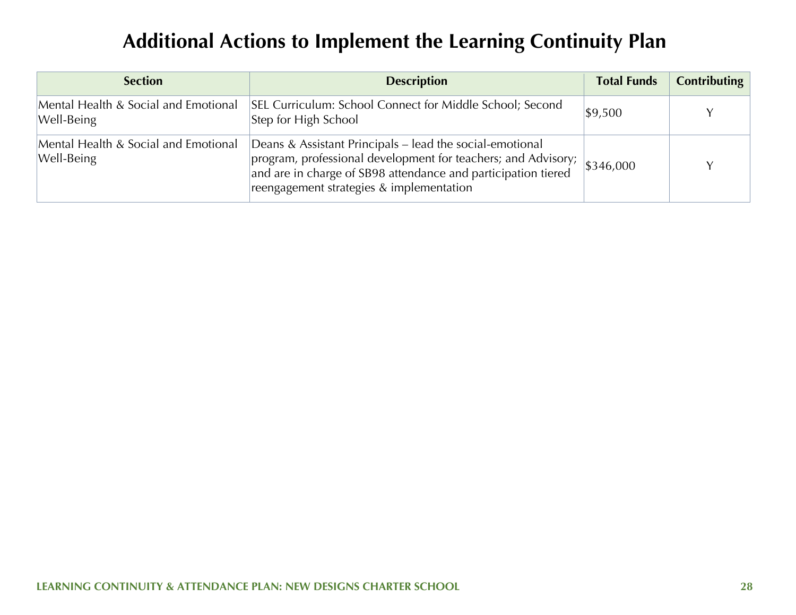## **Additional Actions to Implement the Learning Continuity Plan**

| <b>Section</b>                                     | <b>Description</b>                                                                                                                                                                                                                     | <b>Total Funds</b> | Contributing |
|----------------------------------------------------|----------------------------------------------------------------------------------------------------------------------------------------------------------------------------------------------------------------------------------------|--------------------|--------------|
| Mental Health & Social and Emotional<br>Well-Being | SEL Curriculum: School Connect for Middle School; Second<br>Step for High School                                                                                                                                                       | \$9,500            |              |
| Mental Health & Social and Emotional<br>Well-Being | Deans & Assistant Principals – lead the social-emotional<br>program, professional development for teachers; and Advisory;<br>and are in charge of SB98 attendance and participation tiered<br>reengagement strategies & implementation | \$346,000          |              |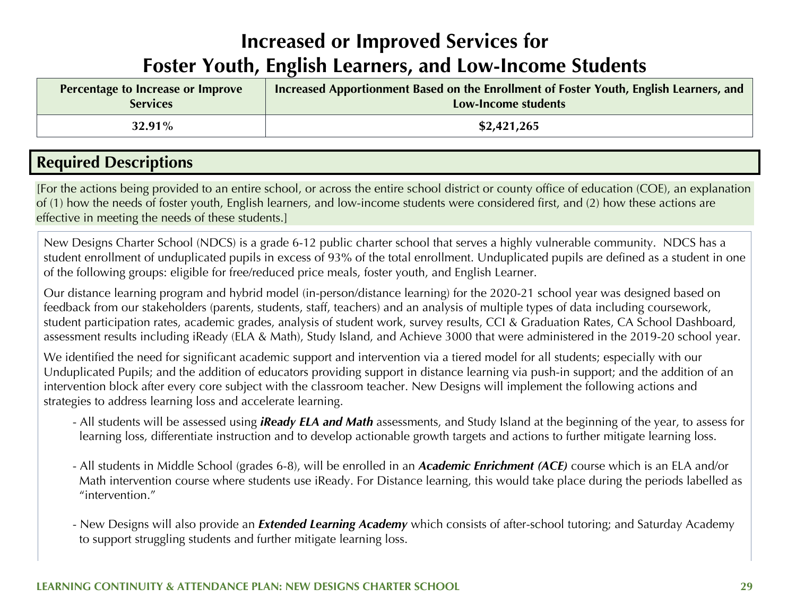## **Increased or Improved Services for Foster Youth, English Learners, and Low-Income Students**

| Percentage to Increase or Improve | Increased Apportionment Based on the Enrollment of Foster Youth, English Learners, and |
|-----------------------------------|----------------------------------------------------------------------------------------|
| <b>Services</b>                   | Low-Income students                                                                    |
| $32.91\%$                         | \$2,421,265                                                                            |

## **Required Descriptions**

[For the actions being provided to an entire school, or across the entire school district or county office of education (COE), an explanation of (1) how the needs of foster youth, English learners, and low-income students were considered first, and (2) how these actions are effective in meeting the needs of these students.]

New Designs Charter School (NDCS) is a grade 6-12 public charter school that serves a highly vulnerable community. NDCS has a student enrollment of unduplicated pupils in excess of 93% of the total enrollment. Unduplicated pupils are defined as a student in one of the following groups: eligible for free/reduced price meals, foster youth, and English Learner.

Our distance learning program and hybrid model (in-person/distance learning) for the 2020-21 school year was designed based on feedback from our stakeholders (parents, students, staff, teachers) and an analysis of multiple types of data including coursework, student participation rates, academic grades, analysis of student work, survey results, CCI & Graduation Rates, CA School Dashboard, assessment results including iReady (ELA & Math), Study Island, and Achieve 3000 that were administered in the 2019-20 school year.

We identified the need for significant academic support and intervention via a tiered model for all students; especially with our Unduplicated Pupils; and the addition of educators providing support in distance learning via push-in support; and the addition of an intervention block after every core subject with the classroom teacher. New Designs will implement the following actions and strategies to address learning loss and accelerate learning.

- All students will be assessed using *iReady ELA and Math* assessments, and Study Island at the beginning of the year, to assess for learning loss, differentiate instruction and to develop actionable growth targets and actions to further mitigate learning loss.
- All students in Middle School (grades 6-8), will be enrolled in an *Academic Enrichment (ACE)* course which is an ELA and/or Math intervention course where students use iReady. For Distance learning, this would take place during the periods labelled as "intervention."
- New Designs will also provide an *Extended Learning Academy* which consists of after-school tutoring; and Saturday Academy to support struggling students and further mitigate learning loss.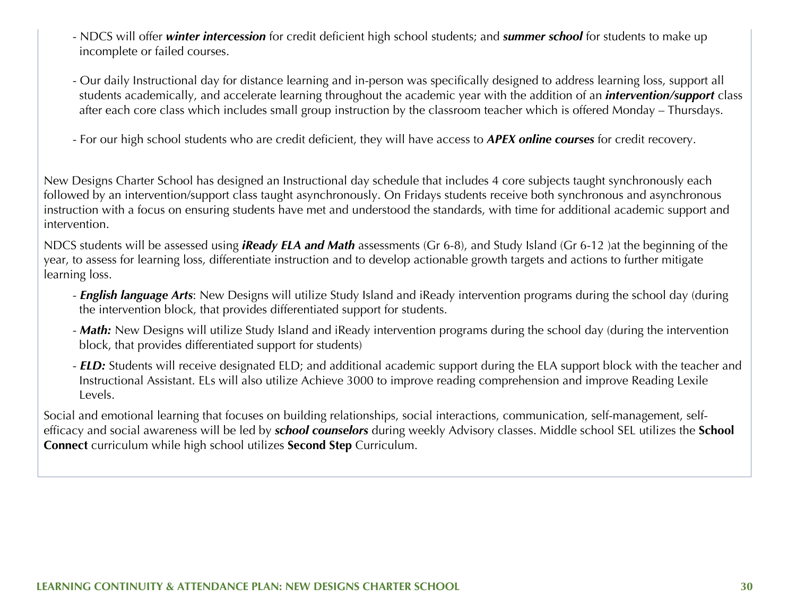- NDCS will offer *winter intercession* for credit deficient high school students; and *summer school* for students to make up incomplete or failed courses.
- Our daily Instructional day for distance learning and in-person was specifically designed to address learning loss, support all students academically, and accelerate learning throughout the academic year with the addition of an *intervention/support* class after each core class which includes small group instruction by the classroom teacher which is offered Monday – Thursdays.
- For our high school students who are credit deficient, they will have access to *APEX online courses* for credit recovery.

New Designs Charter School has designed an Instructional day schedule that includes 4 core subjects taught synchronously each followed by an intervention/support class taught asynchronously. On Fridays students receive both synchronous and asynchronous instruction with a focus on ensuring students have met and understood the standards, with time for additional academic support and intervention.

NDCS students will be assessed using *iReady ELA and Math* assessments (Gr 6-8), and Study Island (Gr 6-12 )at the beginning of the year, to assess for learning loss, differentiate instruction and to develop actionable growth targets and actions to further mitigate learning loss.

- *English language Arts*: New Designs will utilize Study Island and iReady intervention programs during the school day (during the intervention block, that provides differentiated support for students.
- *Math:* New Designs will utilize Study Island and iReady intervention programs during the school day (during the intervention block, that provides differentiated support for students)
- *ELD:* Students will receive designated ELD; and additional academic support during the ELA support block with the teacher and Instructional Assistant. ELs will also utilize Achieve 3000 to improve reading comprehension and improve Reading Lexile Levels.

Social and emotional learning that focuses on building relationships, social interactions, communication, self-management, selfefficacy and social awareness will be led by *school counselors* during weekly Advisory classes. Middle school SEL utilizes the **School Connect** curriculum while high school utilizes **Second Step** Curriculum.